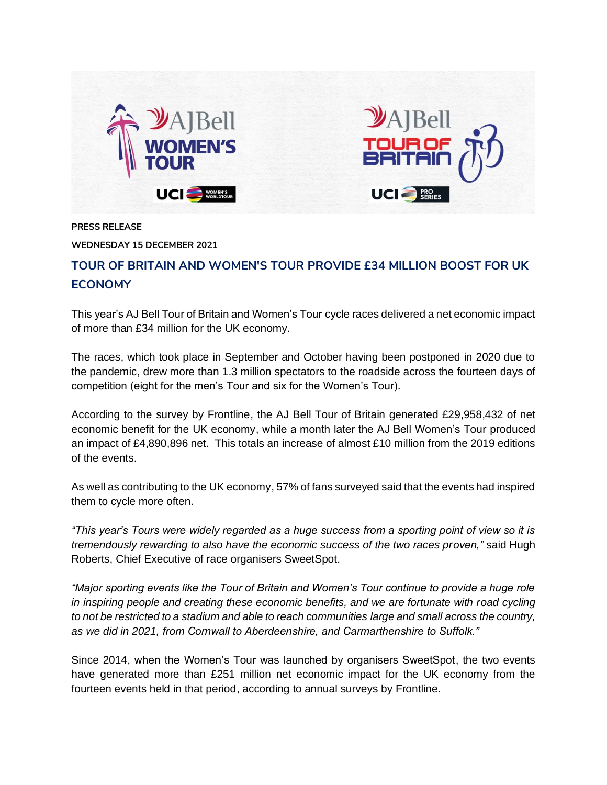

**PRESS RELEASE**

**WEDNESDAY 15 DECEMBER 2021**

## **TOUR OF BRITAIN AND WOMEN'S TOUR PROVIDE £34 MILLION BOOST FOR UK ECONOMY**

This year's AJ Bell Tour of Britain and Women's Tour cycle races delivered a net economic impact of more than £34 million for the UK economy.

The races, which took place in September and October having been postponed in 2020 due to the pandemic, drew more than 1.3 million spectators to the roadside across the fourteen days of competition (eight for the men's Tour and six for the Women's Tour).

According to the survey by Frontline, the AJ Bell Tour of Britain generated £29,958,432 of net economic benefit for the UK economy, while a month later the AJ Bell Women's Tour produced an impact of £4,890,896 net. This totals an increase of almost £10 million from the 2019 editions of the events.

As well as contributing to the UK economy, 57% of fans surveyed said that the events had inspired them to cycle more often.

*"This year's Tours were widely regarded as a huge success from a sporting point of view so it is tremendously rewarding to also have the economic success of the two races proven,"* said Hugh Roberts, Chief Executive of race organisers SweetSpot.

*"Major sporting events like the Tour of Britain and Women's Tour continue to provide a huge role in inspiring people and creating these economic benefits, and we are fortunate with road cycling to not be restricted to a stadium and able to reach communities large and small across the country, as we did in 2021, from Cornwall to Aberdeenshire, and Carmarthenshire to Suffolk."*

Since 2014, when the Women's Tour was launched by organisers SweetSpot, the two events have generated more than £251 million net economic impact for the UK economy from the fourteen events held in that period, according to annual surveys by Frontline.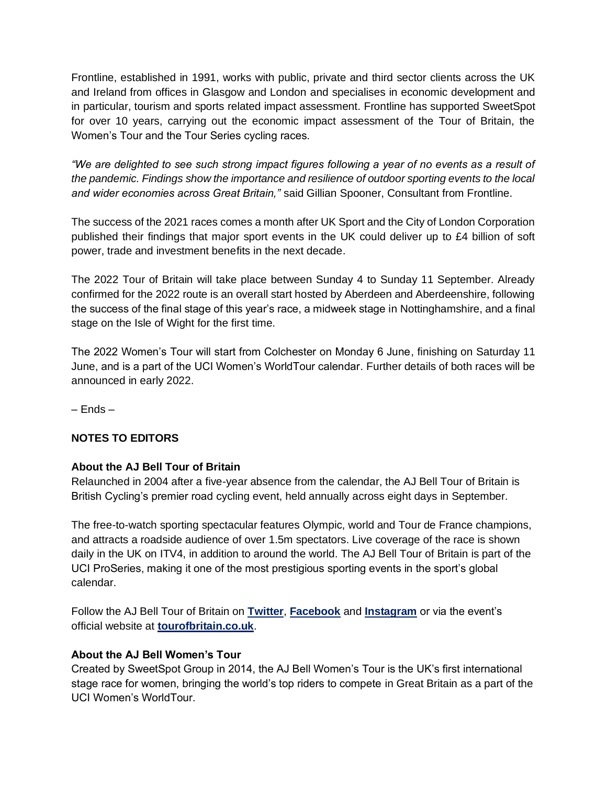Frontline, established in 1991, works with public, private and third sector clients across the UK and Ireland from offices in Glasgow and London and specialises in economic development and in particular, tourism and sports related impact assessment. Frontline has supported SweetSpot for over 10 years, carrying out the economic impact assessment of the Tour of Britain, the Women's Tour and the Tour Series cycling races.

*"We are delighted to see such strong impact figures following a year of no events as a result of the pandemic. Findings show the importance and resilience of outdoor sporting events to the local and wider economies across Great Britain,"* said Gillian Spooner, Consultant from Frontline.

The success of the 2021 races comes a month after UK Sport and the City of London Corporation published their findings that major sport events in the UK could deliver up to £4 billion of soft power, trade and investment benefits in the next decade.

The 2022 Tour of Britain will take place between Sunday 4 to Sunday 11 September. Already confirmed for the 2022 route is an overall start hosted by Aberdeen and Aberdeenshire, following the success of the final stage of this year's race, a midweek stage in Nottinghamshire, and a final stage on the Isle of Wight for the first time.

The 2022 Women's Tour will start from Colchester on Monday 6 June, finishing on Saturday 11 June, and is a part of the UCI Women's WorldTour calendar. Further details of both races will be announced in early 2022.

– Ends –

## **NOTES TO EDITORS**

## **About the AJ Bell Tour of Britain**

Relaunched in 2004 after a five-year absence from the calendar, the AJ Bell Tour of Britain is British Cycling's premier road cycling event, held annually across eight days in September.

The free-to-watch sporting spectacular features Olympic, world and Tour de France champions, and attracts a roadside audience of over 1.5m spectators. Live coverage of the race is shown daily in the UK on ITV4, in addition to around the world. The AJ Bell Tour of Britain is part of the UCI ProSeries, making it one of the most prestigious sporting events in the sport's global calendar.

Follow the AJ Bell Tour of Britain on **[Twitter](https://twitter.com/TourofBritain)**, **[Facebook](https://www.facebook.com/ToBcycling/)** and **[Instagram](https://www.instagram.com/thetourofbritain/)** or via the event's official website at **[tourofbritain.co.uk](http://www.tourofbritain.co.uk/)**.

## **About the AJ Bell Women's Tour**

Created by SweetSpot Group in 2014, the AJ Bell Women's Tour is the UK's first international stage race for women, bringing the world's top riders to compete in Great Britain as a part of the UCI Women's WorldTour.